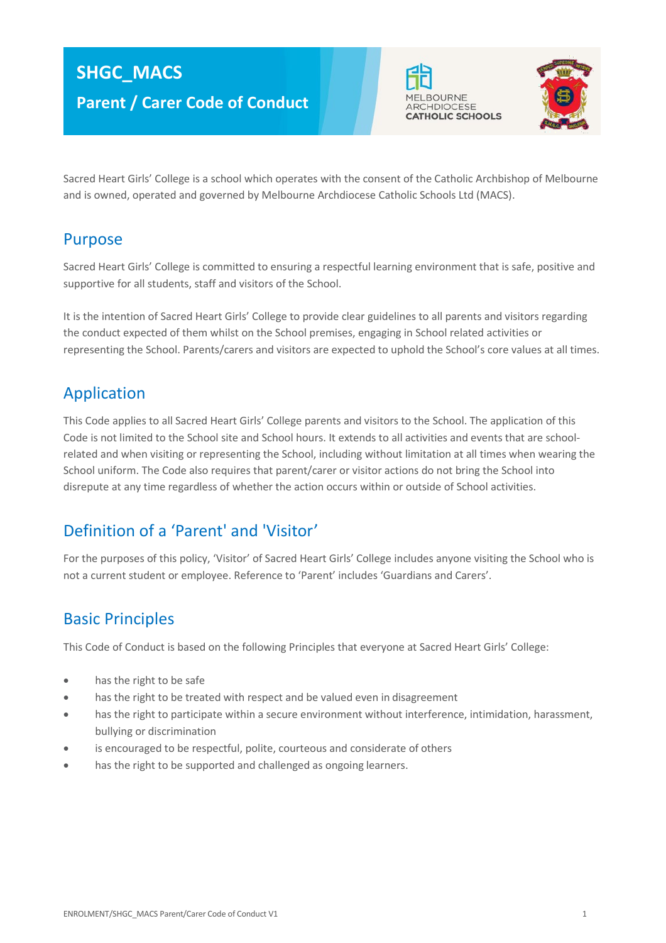# **SHGC\_MACS Parent / Carer Code of Conduct**





Sacred Heart Girls' College is a school which operates with the consent of the Catholic Archbishop of Melbourne and is owned, operated and governed by Melbourne Archdiocese Catholic Schools Ltd (MACS).

#### Purpose

Sacred Heart Girls' College is committed to ensuring a respectful learning environment that is safe, positive and supportive for all students, staff and visitors of the School.

It is the intention of Sacred Heart Girls' College to provide clear guidelines to all parents and visitors regarding the conduct expected of them whilst on the School premises, engaging in School related activities or representing the School. Parents/carers and visitors are expected to uphold the School's core values at all times.

#### Application

This Code applies to all Sacred Heart Girls' College parents and visitors to the School. The application of this Code is not limited to the School site and School hours. It extends to all activities and events that are schoolrelated and when visiting or representing the School, including without limitation at all times when wearing the School uniform. The Code also requires that parent/carer or visitor actions do not bring the School into disrepute at any time regardless of whether the action occurs within or outside of School activities.

## Definition of a 'Parent' and 'Visitor'

For the purposes of this policy, 'Visitor' of Sacred Heart Girls' College includes anyone visiting the School who is not a current student or employee. Reference to 'Parent' includes 'Guardians and Carers'.

## Basic Principles

This Code of Conduct is based on the following Principles that everyone at Sacred Heart Girls' College:

- has the right to be safe
- has the right to be treated with respect and be valued even in disagreement
- has the right to participate within a secure environment without interference, intimidation, harassment, bullying or discrimination
- is encouraged to be respectful, polite, courteous and considerate of others
- has the right to be supported and challenged as ongoing learners.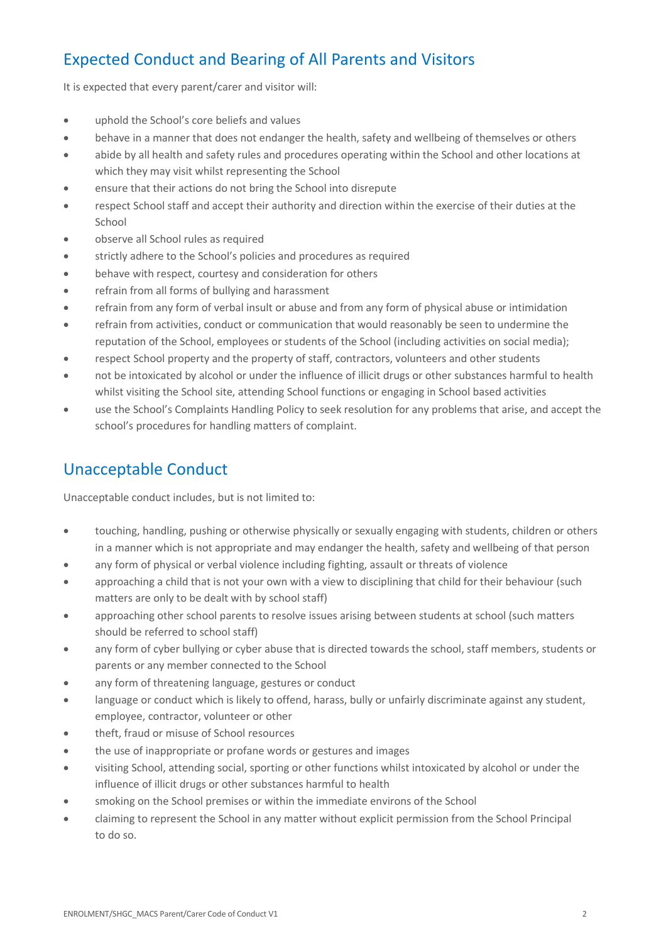## Expected Conduct and Bearing of All Parents and Visitors

It is expected that every parent/carer and visitor will:

- uphold the School's core beliefs and values
- behave in a manner that does not endanger the health, safety and wellbeing of themselves or others
- abide by all health and safety rules and procedures operating within the School and other locations at which they may visit whilst representing the School
- ensure that their actions do not bring the School into disrepute
- respect School staff and accept their authority and direction within the exercise of their duties at the School
- observe all School rules as required
- strictly adhere to the School's policies and procedures as required
- behave with respect, courtesy and consideration for others
- refrain from all forms of bullying and harassment
- refrain from any form of verbal insult or abuse and from any form of physical abuse or intimidation
- refrain from activities, conduct or communication that would reasonably be seen to undermine the reputation of the School, employees or students of the School (including activities on social media);
- respect School property and the property of staff, contractors, volunteers and other students
- not be intoxicated by alcohol or under the influence of illicit drugs or other substances harmful to health whilst visiting the School site, attending School functions or engaging in School based activities
- use the School's Complaints Handling Policy to seek resolution for any problems that arise, and accept the school's procedures for handling matters of complaint.

#### Unacceptable Conduct

Unacceptable conduct includes, but is not limited to:

- touching, handling, pushing or otherwise physically or sexually engaging with students, children or others in a manner which is not appropriate and may endanger the health, safety and wellbeing of that person
- any form of physical or verbal violence including fighting, assault or threats of violence
- approaching a child that is not your own with a view to disciplining that child for their behaviour (such matters are only to be dealt with by school staff)
- approaching other school parents to resolve issues arising between students at school (such matters should be referred to school staff)
- any form of cyber bullying or cyber abuse that is directed towards the school, staff members, students or parents or any member connected to the School
- any form of threatening language, gestures or conduct
- language or conduct which is likely to offend, harass, bully or unfairly discriminate against any student, employee, contractor, volunteer or other
- theft, fraud or misuse of School resources
- the use of inappropriate or profane words or gestures and images
- visiting School, attending social, sporting or other functions whilst intoxicated by alcohol or under the influence of illicit drugs or other substances harmful to health
- smoking on the School premises or within the immediate environs of the School
- claiming to represent the School in any matter without explicit permission from the School Principal to do so.